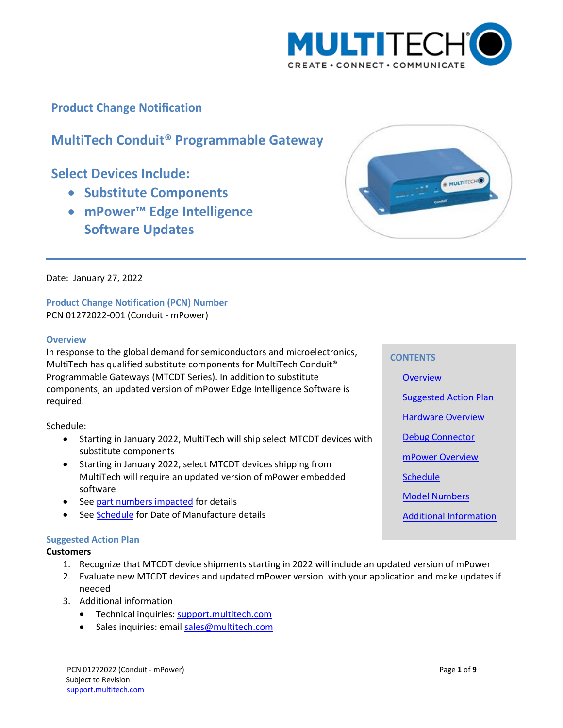

## **Product Change Notification**

# **MultiTech Conduit® Programmable Gateway**

# **Select Devices Include:**

- **Substitute Components**
- **mPower™ Edge Intelligence Software Updates**



Date: January 27, 2022

## **Product Change Notification (PCN) Number**  PCN 01272022-001 (Conduit - mPower)

#### <span id="page-0-0"></span>**Overview**

In response to the global demand for semiconductors and microelectronics, MultiTech has qualified substitute components for MultiTech Conduit® Programmable Gateways (MTCDT Series). In addition to substitute components, an updated version of mPower Edge Intelligence Software is required.

Schedule:

- Starting in January 2022, MultiTech will ship select MTCDT devices with substitute components
- Starting in January 2022, select MTCDT devices shipping from MultiTech will require an updated version of mPower embedded software
- See part numbers impacted for details
- See [Schedule](#page-5-0) for Date of Manufacture details

#### <span id="page-0-1"></span>**Suggested Action Plan**

#### **Customers**

- 1. Recognize that MTCDT device shipments starting in 2022 will include an updated version of mPower
- 2. Evaluate new MTCDT devices and updated mPower version with your application and make updates if needed
- 3. Additional information
	- Technical inquiries: support.multitech.com
	- Sales inquiries: emai[l sales@multitech.com](mailto:sales@multitech.com?subject=mPower%205.3.7%20and%20Conduit%20with%20Substitute%20Components)

PCN 01272022 (Conduit - mPower) Page **1** of **9** Subject to Revision [support.multitech.com](https://support.multitech.com/)

#### **CONTENTS**

**[Overview](#page-0-0)** [Suggested Action Plan](#page-0-1) [Hardware Overview](#page-1-0) [Debug Connector](#page-4-0) [mPower Overview](#page-5-1) **[Schedule](#page-5-0)** 

[Model Numbers](#page-6-0)

[Additional Information](#page-7-0)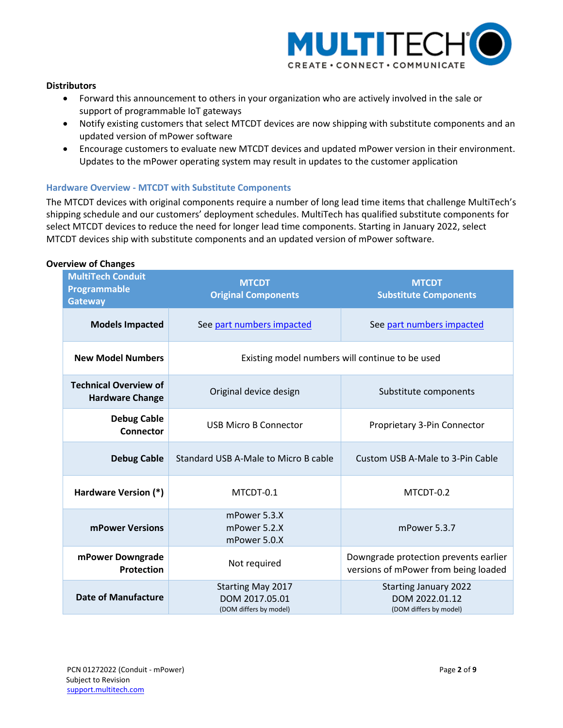

## **Distributors**

- Forward this announcement to others in your organization who are actively involved in the sale or support of programmable IoT gateways
- Notify existing customers that select MTCDT devices are now shipping with substitute components and an updated version of mPower software
- Encourage customers to evaluate new MTCDT devices and updated mPower version in their environment. Updates to the mPower operating system may result in updates to the customer application

## <span id="page-1-0"></span>**Hardware Overview - MTCDT with Substitute Components**

The MTCDT devices with original components require a number of long lead time items that challenge MultiTech's shipping schedule and our customers' deployment schedules. MultiTech has qualified substitute components for select MTCDT devices to reduce the need for longer lead time components. Starting in January 2022, select MTCDT devices ship with substitute components and an updated version of mPower software.

| <b>MultiTech Conduit</b><br>Programmable<br><b>Gateway</b> | <b>MTCDT</b><br><b>Original Components</b>                           | <b>MTCDT</b><br><b>Substitute Components</b>                                  |  |  |  |
|------------------------------------------------------------|----------------------------------------------------------------------|-------------------------------------------------------------------------------|--|--|--|
| <b>Models Impacted</b>                                     | See part numbers impacted                                            | See part numbers impacted                                                     |  |  |  |
| <b>New Model Numbers</b>                                   |                                                                      | Existing model numbers will continue to be used                               |  |  |  |
| <b>Technical Overview of</b><br><b>Hardware Change</b>     | Original device design                                               | Substitute components                                                         |  |  |  |
| <b>Debug Cable</b><br><b>Connector</b>                     | <b>USB Micro B Connector</b>                                         | Proprietary 3-Pin Connector                                                   |  |  |  |
| <b>Debug Cable</b>                                         | Standard USB A-Male to Micro B cable                                 | Custom USB A-Male to 3-Pin Cable                                              |  |  |  |
| Hardware Version (*)                                       | MTCDT-0.1                                                            | MTCDT-0.2                                                                     |  |  |  |
| mPower Versions                                            | mPower 5.3.X<br>mPower 5.2.X<br>mPower 5.0.X                         | mPower 5.3.7                                                                  |  |  |  |
| mPower Downgrade<br>Protection                             | Not required                                                         | Downgrade protection prevents earlier<br>versions of mPower from being loaded |  |  |  |
| <b>Date of Manufacture</b>                                 | <b>Starting May 2017</b><br>DOM 2017.05.01<br>(DOM differs by model) | <b>Starting January 2022</b><br>DOM 2022.01.12<br>(DOM differs by model)      |  |  |  |

#### **Overview of Changes**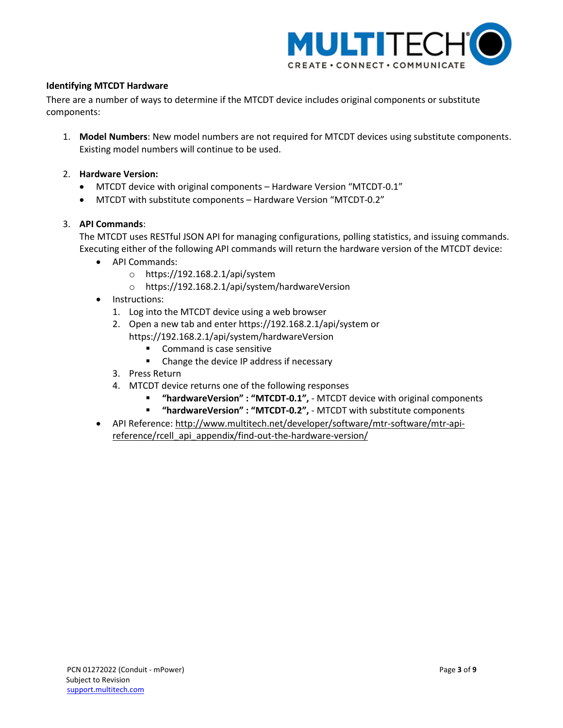

## **Identifying MTCDT Hardware**

There are a number of ways to determine if the MTCDT device includes original components or substitute components:

1. **Model Numbers**: New model numbers are not required for MTCDT devices using substitute components. Existing model numbers will continue to be used.

## 2. **Hardware Version:**

- MTCDT device with original components Hardware Version "MTCDT-0.1"
- MTCDT with substitute components Hardware Version "MTCDT-0.2"

## 3. **API Commands**:

The MTCDT uses RESTful JSON API for managing configurations, polling statistics, and issuing commands. Executing either of the following API commands will return the hardware version of the MTCDT device:

- API Commands:
	- o https://192.168.2.1/api/system
	- o https://192.168.2.1/api/system/hardwareVersion
- Instructions:
	- 1. Log into the MTCDT device using a web browser
	- 2. Open a new tab and enter https://192.168.2.1/api/system or https://192.168.2.1/api/system/hardwareVersion
		- **Command is case sensitive**
		- **EXECH** Change the device IP address if necessary
	- 3. Press Return
	- 4. MTCDT device returns one of the following responses
		- **"hardwareVersion" : "MTCDT-0.1",**  MTCDT device with original components
		- **"hardwareVersion" : "MTCDT-0.2",**  MTCDT with substitute components
- API Reference[: http://www.multitech.net/developer/software/mtr-software/mtr-api](http://www.multitech.net/developer/software/mtr-software/mtr-api-reference/rcell_api_appendix/find-out-the-hardware-version/)[reference/rcell\\_api\\_appendix/find-out-the-hardware-version/](http://www.multitech.net/developer/software/mtr-software/mtr-api-reference/rcell_api_appendix/find-out-the-hardware-version/)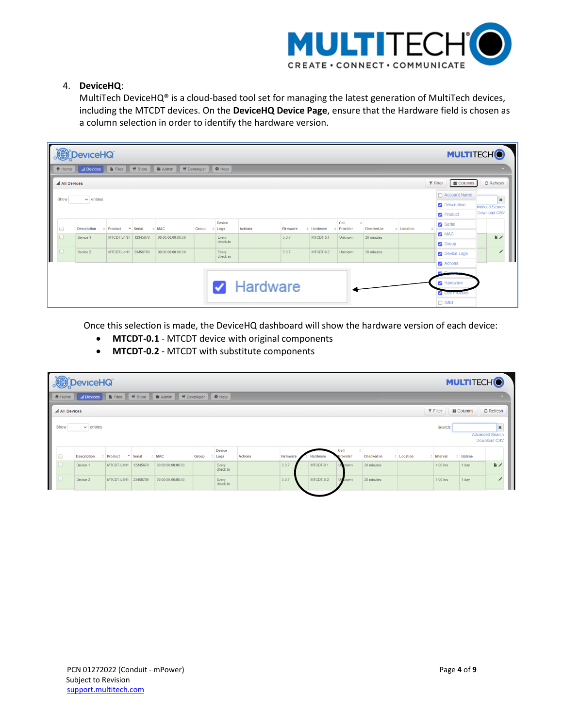

## 4. **DeviceHQ**:

MultiTech DeviceHQ® is a cloud-based tool set for managing the latest generation of MultiTech devices, including the MTCDT devices. On the **DeviceHQ Device Page**, ensure that the Hardware field is chosen as a column selection in order to identify the hardware version.

|        | DeviceHQ<br><b>MULTITECHO</b>                                                                                              |                    |                     |            |                   |       |                         |                   |          |           |                  |            |                      |                      |              |
|--------|----------------------------------------------------------------------------------------------------------------------------|--------------------|---------------------|------------|-------------------|-------|-------------------------|-------------------|----------|-----------|------------------|------------|----------------------|----------------------|--------------|
|        | <b>B</b> Files <b>W</b> Store<br><b>E</b> Admin<br>$\equiv$ Developer<br>$\Theta$ Help<br>÷<br>al Devices<br><b>合</b> Home |                    |                     |            |                   |       |                         |                   |          |           |                  |            |                      |                      |              |
|        | $\mathfrak S$ Refresh<br>$\overline{\mathbf{y}}$ Filter<br><b>III</b> Columns<br>all All Devices                           |                    |                     |            |                   |       |                         |                   |          |           |                  |            |                      |                      |              |
|        | $\Box$ Account Name                                                                                                        |                    |                     |            |                   |       |                         |                   |          |           |                  |            |                      |                      |              |
|        | $\vee$ entries<br>Show<br>$\pmb{\times}$<br><b>2</b> Description<br><b>Ivanced Search</b>                                  |                    |                     |            |                   |       |                         |                   |          |           |                  |            |                      |                      |              |
|        |                                                                                                                            |                    |                     |            |                   |       |                         |                   |          |           |                  |            |                      | Product              | Download CSV |
| $\Box$ |                                                                                                                            | <b>Description</b> | Product             | $-$ Serial | <b>MAC</b>        | Group | Device<br>$\angle$ Logs | <b>Actions</b>    | Firmware | Hardware  | Cell<br>Provider | Checked-in | $\triangle$ Location | Serial               |              |
| $\Box$ |                                                                                                                            | Device 1           | MTCDT-L4N1          | 12345678   | 00:00:00:00:00:00 |       | Every                   |                   | 5.3.7    | MTCDT-0.1 | Unknown          | 20 minutes |                      | MAC <sub>12</sub>    | 脂ノ           |
|        |                                                                                                                            |                    |                     |            |                   |       | check-in                |                   |          |           |                  |            |                      | <b>S</b> Group       |              |
|        |                                                                                                                            | Device 2           | MTCDT-L4N1 23456789 |            | 00:00:00:00:00:00 |       | Every<br>check-in       |                   | 5.3.7    | MTCDT-0.2 | Unknown          | 20 minutes |                      | <b>2</b> Device Logs |              |
|        |                                                                                                                            |                    |                     |            |                   |       |                         |                   |          |           |                  |            |                      | <b>Z</b> Actions     |              |
|        |                                                                                                                            |                    |                     |            |                   |       |                         |                   |          |           |                  |            |                      | <b>R2</b> Eirosuppe  |              |
|        |                                                                                                                            |                    |                     |            |                   |       |                         | <b>Z</b> Hardware |          |           |                  |            |                      | Hardware             |              |
|        |                                                                                                                            |                    |                     |            |                   |       |                         |                   |          |           |                  |            |                      | Cell Provider        |              |
|        |                                                                                                                            |                    |                     |            |                   |       |                         |                   |          |           |                  |            |                      | $\Box$ IMEI          |              |

Once this selection is made, the DeviceHQ dashboard will show the hardware version of each device:

- **MTCDT-0.1** MTCDT device with original components
- **MTCDT-0.2** MTCDT with substitute components

| <b>TAB</b>                                                                                                                                                       | <b>MULTITECHO</b><br><b>DeviceHQ</b>                                               |              |                         |                   |       |                   |                |          |           |                  |            |                 |                 |             |                                                        |
|------------------------------------------------------------------------------------------------------------------------------------------------------------------|------------------------------------------------------------------------------------|--------------|-------------------------|-------------------|-------|-------------------|----------------|----------|-----------|------------------|------------|-----------------|-----------------|-------------|--------------------------------------------------------|
| $\overline{\mathbf{H}}$ Developer $\overline{\mathbf{Q}}$ Help<br>$\equiv$ Store<br>$\widehat{\mathbf{m}}$ Admin<br><b>Files</b><br><b>合</b> Home<br>all Devices |                                                                                    |              |                         |                   |       |                   |                |          |           |                  |            |                 |                 |             |                                                        |
|                                                                                                                                                                  | $\overline{\mathbf{Y}}$ Filter<br>C Refresh<br><b>Ⅲ</b> Columns<br>all All Devices |              |                         |                   |       |                   |                |          |           |                  |            |                 |                 |             |                                                        |
| Show                                                                                                                                                             | $\vee$ entries                                                                     |              |                         |                   |       |                   |                |          |           |                  |            |                 | Search:         |             | $\mathbf{x}$<br><b>Advanced Search</b><br>Download CSV |
| $\Box$                                                                                                                                                           | <b>Description</b>                                                                 | Product<br>۰ | Serial<br>$\frac{1}{2}$ | <b>MAC</b>        | Group | Device<br>Logs    | <b>Actions</b> | Firmware | Hardware  | Cell<br>Provider | Checked-in | $\div$ Location | $\div$ Interval | Uptime<br>÷ |                                                        |
| $\Box$                                                                                                                                                           | Device 1                                                                           | MTCDT-L4N1   | 12345678                | 00:00:00:00:00:00 |       | Every<br>check-in |                | 5.3.7    | MTCDT-0.1 | <b>Jrknown</b>   | 20 minutes |                 | 4.00 hrs        | 1 day       | $\mathbb{R}$                                           |
| $\Box$                                                                                                                                                           | Device 2                                                                           | MTCDT-L4N1   | 23456789                | 00:00:00:00:00:00 |       | Every<br>check-in |                | 5.3.7    | MTCDT-0.2 | nown             | 20 minutes |                 | 4.00 hrs        | 1 day       | {                                                      |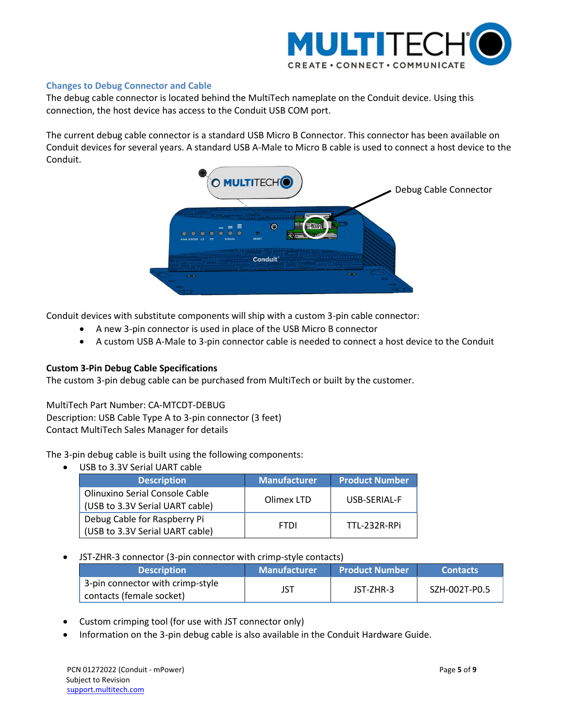

## <span id="page-4-0"></span>**Changes to Debug Connector and Cable**

The debug cable connector is located behind the MultiTech nameplate on the Conduit device. Using this connection, the host device has access to the Conduit USB COM port.

The current debug cable connector is a standard USB Micro B Connector. This connector has been available on Conduit devices for several years. A standard USB A-Male to Micro B cable is used to connect a host device to the Conduit.



Conduit devices with substitute components will ship with a custom 3-pin cable connector:

- A new 3-pin connector is used in place of the USB Micro B connector
- A custom USB A-Male to 3-pin connector cable is needed to connect a host device to the Conduit

#### **Custom 3-Pin Debug Cable Specifications**

The custom 3-pin debug cable can be purchased from MultiTech or built by the customer.

MultiTech Part Number: CA-MTCDT-DEBUG Description: USB Cable Type A to 3-pin connector (3 feet) Contact MultiTech Sales Manager for details

The 3-pin debug cable is built using the following components:

USB to 3.3V Serial UART cable

| <b>Description</b>                                                | <b>Manufacturer</b> | <b>Product Number</b> |
|-------------------------------------------------------------------|---------------------|-----------------------|
| Olinuxino Serial Console Cable<br>(USB to 3.3V Serial UART cable) | Olimex LTD          | USB-SERIAL-F          |
| Debug Cable for Raspberry Pi<br>(USB to 3.3V Serial UART cable)   | <b>FTDI</b>         | TTL-232R-RPi          |

## JST-ZHR-3 connector (3-pin connector with crimp-style contacts)

| <b>Description</b>               | <b>Manufacturer</b> | Product Number | <b>Contacts</b> |
|----------------------------------|---------------------|----------------|-----------------|
| 3-pin connector with crimp-style |                     | JST-ZHR-3      | SZH-002T-P0.5   |
| contacts (female socket)         |                     |                |                 |

- Custom crimping tool (for use with JST connector only)
- Information on the 3-pin debug cable is also available in the Conduit Hardware Guide.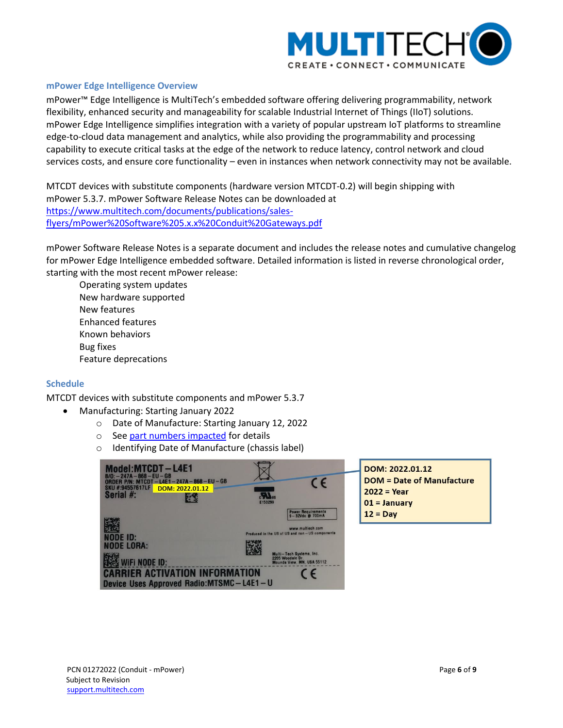

#### <span id="page-5-1"></span>**mPower Edge Intelligence Overview**

mPower™ Edge Intelligence is MultiTech's embedded software offering delivering programmability, network flexibility, enhanced security and manageability for scalable Industrial Internet of Things (IIoT) solutions. mPower Edge Intelligence simplifies integration with a variety of popular upstream IoT platforms to streamline edge-to-cloud data management and analytics, while also providing the programmability and processing capability to execute critical tasks at the edge of the network to reduce latency, control network and cloud services costs, and ensure core functionality – even in instances when network connectivity may not be available.

MTCDT devices with substitute components (hardware version MTCDT-0.2) will begin shipping with mPower 5.3.7. mPower Software Release Notes can be downloaded at [https://www.multitech.com/documents/publications/sales](https://www.multitech.com/documents/publications/sales-flyers/mPower%20Software%205.x.x%20Conduit%20Gateways.pdf)[flyers/mPower%20Software%205.x.x%20Conduit%20Gateways.pdf](https://www.multitech.com/documents/publications/sales-flyers/mPower%20Software%205.x.x%20Conduit%20Gateways.pdf)

mPower Software Release Notes is a separate document and includes the release notes and cumulative changelog for mPower Edge Intelligence embedded software. Detailed information is listed in reverse chronological order, starting with the most recent mPower release:

Operating system updates New hardware supported New features Enhanced features Known behaviors Bug fixes Feature deprecations

#### <span id="page-5-0"></span>**Schedule**

MTCDT devices with substitute components and mPower 5.3.7

- Manufacturing: Starting January 2022
	- o Date of Manufacture: Starting January 12, 2022
	- o See part numbers impacted for details
	- o Identifying Date of Manufacture (chassis label)

| Model:MTCDT-L4E1<br>$B/O: -247A - 868 - EU - GB$<br>ORDER P/N: MTCDT-L4E1-247A-868-EU-GB<br>SKU #:94557617LF<br>DOM: 2022.01.12<br>Serial #: | F150299 | $\epsilon$                                                                                                  |
|----------------------------------------------------------------------------------------------------------------------------------------------|---------|-------------------------------------------------------------------------------------------------------------|
| NODE ID:                                                                                                                                     |         | Power Requirements<br>9-32Vdc @ 700mA<br>www.multiech.com<br>Produced in the US of US and non-US components |
| <b>NODE LORA:</b><br>WIFI NODE ID:<br><b>CARRIER ACTIVATION INFORMATION</b><br>Device Uses Approved Radio: MTSMC-L4E1-U                      |         | Multi-Tech Systems, Inc.<br>2205 Woodale Dr.<br>Mounds View, MN, USA 55112<br>C F                           |

DOM: 2022.01.12 **DOM = Date of Manufacture**  $2022 = Year$  $01 = January$  $12 = Day$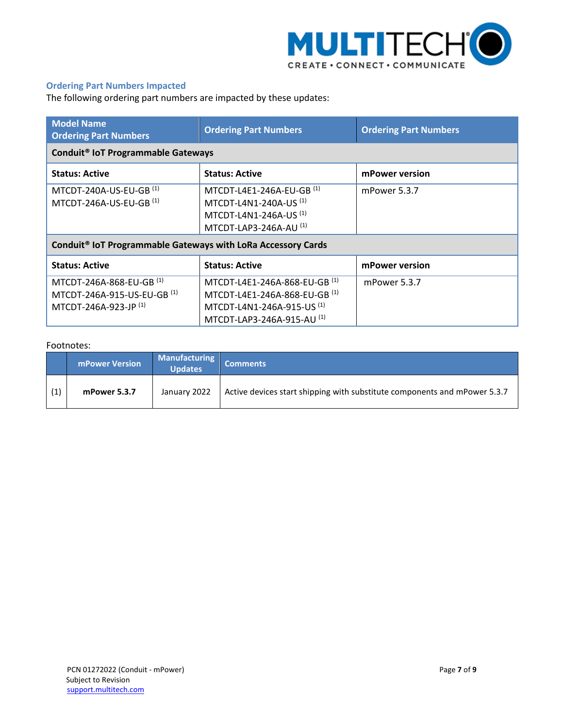

## <span id="page-6-0"></span>**Ordering Part Numbers Impacted**

The following ordering part numbers are impacted by these updates:

| <b>Model Name</b><br><b>Ordering Part Numbers</b>                                | <b>Ordering Part Numbers</b>                                                                                                             | <b>Ordering Part Numbers</b> |  |  |  |  |  |
|----------------------------------------------------------------------------------|------------------------------------------------------------------------------------------------------------------------------------------|------------------------------|--|--|--|--|--|
| Conduit <sup>®</sup> IoT Programmable Gateways                                   |                                                                                                                                          |                              |  |  |  |  |  |
| <b>Status: Active</b>                                                            | <b>Status: Active</b>                                                                                                                    | mPower version               |  |  |  |  |  |
| MTCDT-240A-US-EU-GB <sup>(1)</sup><br>MTCDT-246A-US-EU-GB <sup>(1)</sup>         | MTCDT-L4E1-246A-EU-GB <sup>(1)</sup><br>MTCDT-L4N1-240A-US <sup>(1)</sup><br>MTCDT-L4N1-246A-US <sup>(1)</sup><br>MTCDT-LAP3-246A-AU (1) | mPower 5.3.7                 |  |  |  |  |  |
| Conduit <sup>®</sup> IoT Programmable Gateways with LoRa Accessory Cards         |                                                                                                                                          |                              |  |  |  |  |  |
| <b>Status: Active</b>                                                            | <b>Status: Active</b>                                                                                                                    | mPower version               |  |  |  |  |  |
| MTCDT-246A-868-EU-GB (1)<br>MTCDT-246A-915-US-EU-GB (1)<br>MTCDT-246A-923-JP (1) | MTCDT-L4E1-246A-868-EU-GB (1)<br>MTCDT-L4E1-246A-868-EU-GB (1)<br>MTCDT-L4N1-246A-915-US <sup>(1)</sup><br>MTCDT-LAP3-246A-915-AU (1)    | mPower 5.3.7                 |  |  |  |  |  |

#### Footnotes:

|     | <b>mPower Version</b> | Manufacturing<br><b>Updates</b> | <b>Comments</b>                                                           |
|-----|-----------------------|---------------------------------|---------------------------------------------------------------------------|
| (1) | mPower 5.3.7          | January 2022                    | Active devices start shipping with substitute components and mPower 5.3.7 |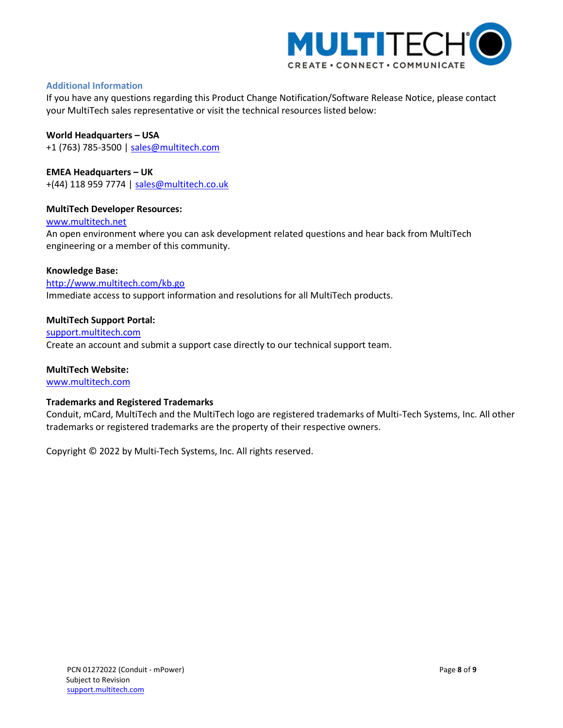

## <span id="page-7-0"></span>**Additional Information**

If you have any questions regarding this Product Change Notification/Software Release Notice, please contact your MultiTech sales representative or visit the technical resources listed below:

**World Headquarters – USA** +1 (763) 785-3500 | [sales@multitech.com](mailto:sales@multitech.com)

**EMEA Headquarters – UK** +(44) 118 959 7774 | [sales@multitech.co.uk](mailto:sales@multitech.co.uk)

## **MultiTech Developer Resources:**

[www.multitech.net](http://www.multitech.net/)

An open environment where you can ask development related questions and hear back from MultiTech engineering or a member of this community.

#### **Knowledge Base:**

<http://www.multitech.com/kb.go> Immediate access to support information and resolutions for all MultiTech products.

#### **MultiTech Support Portal:**

[support.multitech.com](https://support.multitech.com/) Create an account and submit a support case directly to our technical support team.

#### **MultiTech Website:**

[www.multitech.com](http://www.multitech.com/)

#### **Trademarks and Registered Trademarks**

Conduit, mCard, MultiTech and the MultiTech logo are registered trademarks of Multi-Tech Systems, Inc. All other trademarks or registered trademarks are the property of their respective owners.

Copyright © 2022 by Multi-Tech Systems, Inc. All rights reserved.